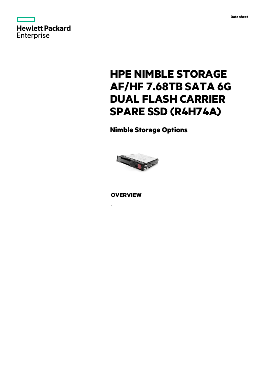



# **HPE NIMBLE STORAGE AF/HF 7.68TB SATA 6G DUAL FLASH CARRIER SPARE SSD (R4H74A)**

**Nimble Storage Options**



**OVERVIEW**

.